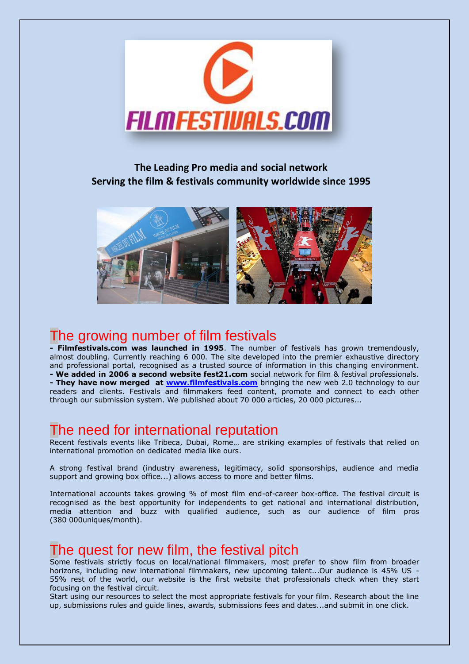

## **The Leading Pro media and social network Serving the film & festivals community worldwide since 1995**



# The growing number of film festivals

**- Filmfestivals.com was launched in 1995**. The number of festivals has grown tremendously, almost doubling. Currently reaching 6 000. The site developed into the premier exhaustive directory and professional portal, recognised as a trusted source of information in this changing environment. **- We added in 2006 a second website fest21.com** social network for film & festival professionals. **- They have now merged at [www.filmfestivals.com](http://www.filmfestivals.com/)** bringing the new web 2.0 technology to our readers and clients. Festivals and filmmakers feed content, promote and connect to each other through our submission system. We published about 70 000 articles, 20 000 pictures...

# The need for international reputation

Recent festivals events like Tribeca, Dubai, Rome… are striking examples of festivals that relied on international promotion on dedicated media like ours.

A strong festival brand (industry awareness, legitimacy, solid sponsorships, audience and media support and growing box office...) allows access to more and better films.

International accounts takes growing % of most film end-of-career box-office. The festival circuit is recognised as the best opportunity for independents to get national and international distribution, media attention and buzz with qualified audience, such as our audience of film pros (380 000uniques/month).

# The quest for new film, the festival pitch

Some festivals strictly focus on local/national filmmakers, most prefer to show film from broader horizons, including new international filmmakers, new upcoming talent...Our audience is 45% US - 55% rest of the world, our website is the first website that professionals check when they start focusing on the festival circuit.

Start using our resources to select the most appropriate festivals for your film. Research about the line up, submissions rules and guide lines, awards, submissions fees and dates...and submit in one click.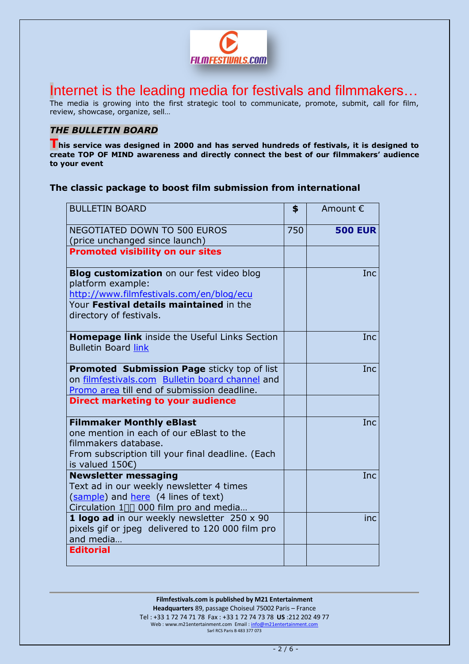

Internet is the leading media for festivals and filmmakers…

The media is growing into the first strategic tool to communicate, promote, submit, call for film, review, showcase, organize, sell…

## *THE BULLETIN BOARD*

**This service was designed in 2000 and has served hundreds of festivals, it is designed to create TOP OF MIND awareness and directly connect the best of our filmmakers' audience to your event**

### **The classic package to boost film submission from international**

| <b>BULLETIN BOARD</b>                                                                                                                                                                   | \$  | Amount €       |
|-----------------------------------------------------------------------------------------------------------------------------------------------------------------------------------------|-----|----------------|
| <b>NEGOTIATED DOWN TO 500 EUROS</b><br>(price unchanged since launch)                                                                                                                   | 750 | <b>500 EUR</b> |
| <b>Promoted visibility on our sites</b>                                                                                                                                                 |     |                |
| <b>Blog customization</b> on our fest video blog<br>platform example:<br>http://www.filmfestivals.com/en/blog/ecu<br>Your Festival details maintained in the<br>directory of festivals. |     | Inc.           |
| Homepage link inside the Useful Links Section<br><b>Bulletin Board link</b>                                                                                                             |     | <b>Inc</b>     |
| <b>Promoted Submission Page sticky top of list</b><br>on filmfestivals.com Bulletin board channel and<br>Promo area till end of submission deadline.                                    |     | Inc.           |
| <b>Direct marketing to your audience</b>                                                                                                                                                |     |                |
| <b>Filmmaker Monthly eBlast</b><br>one mention in each of our eBlast to the<br>filmmakers database.<br>From subscription till your final deadline. (Each<br>is valued $150\epsilon)$    |     | Inc.           |
| <b>Newsletter messaging</b><br>Text ad in our weekly newsletter 4 times<br>(sample) and here (4 lines of text)<br>Circulation 1*%000 film pro and media                                 |     | <b>Inc</b>     |
| 1 logo ad in our weekly newsletter 250 x 90<br>pixels gif or jpeg delivered to 120 000 film pro<br>and media                                                                            |     | <i>inc</i>     |
| <b>Editorial</b>                                                                                                                                                                        |     |                |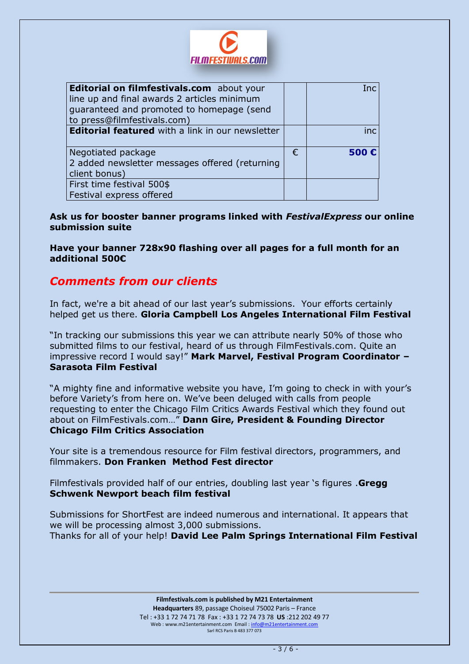

| Editorial on filmfestivals.com about your               |   | Inc  |
|---------------------------------------------------------|---|------|
| line up and final awards 2 articles minimum             |   |      |
| guaranteed and promoted to homepage (send               |   |      |
| to press@filmfestivals.com)                             |   |      |
| <b>Editorial featured</b> with a link in our newsletter |   | inc  |
|                                                         |   |      |
| Negotiated package                                      | € | 500E |
| 2 added newsletter messages offered (returning          |   |      |
| client bonus)                                           |   |      |
| First time festival 500\$                               |   |      |
| Festival express offered                                |   |      |

**Ask us for booster banner programs linked with** *FestivalExpress* **our online submission suite**

**Have your banner 728x90 flashing over all pages for a full month for an additional 500€**

## *Comments from our clients*

In fact, we're a bit ahead of our last year's submissions. Your efforts certainly helped get us there. **Gloria Campbell Los Angeles International Film Festival**

"In tracking our submissions this year we can attribute nearly 50% of those who submitted films to our festival, heard of us through FilmFestivals.com. Quite an impressive record I would say!" **Mark Marvel, Festival Program Coordinator – Sarasota Film Festival**

"A mighty fine and informative website you have, I'm going to check in with your's before Variety's from here on. We've been deluged with calls from people requesting to enter the Chicago Film Critics Awards Festival which they found out about on FilmFestivals.com…" **Dann Gire, President & Founding Director Chicago Film Critics Association**

Your site is a tremendous resource for Film festival directors, programmers, and filmmakers. **Don Franken Method Fest director**

Filmfestivals provided half of our entries, doubling last year 's figures .**Gregg Schwenk Newport beach film festival**

Submissions for ShortFest are indeed numerous and international. It appears that we will be processing almost 3,000 submissions. Thanks for all of your help! **David Lee Palm Springs International Film Festival**

> **Filmfestivals.com is published by M21 Entertainment Headquarters** 89, passage Choiseul 75002 Paris – France Tel : +33 1 72 74 71 78 Fax : +33 1 72 74 73 78 **US** :212 202 49 77 Web : www.m21entertainment.com Email : info@m21entertainment.com Sarl RCS Paris B 483 377 073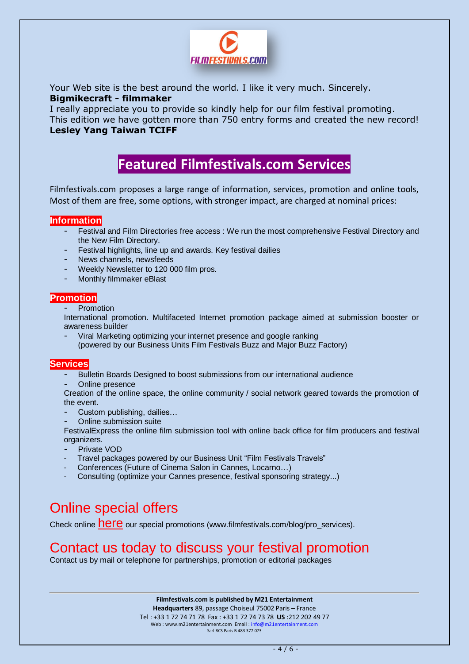

Your Web site is the best around the world. I like it very much. Sincerely. **Bigmikecraft - filmmaker**

I really appreciate you to provide so kindly help for our film festival promoting. This edition we have gotten more than 750 entry forms and created the new record! **Lesley Yang Taiwan TCIFF**

# **Featured Filmfestivals.com Services**

Filmfestivals.com proposes a large range of information, services, promotion and online tools, Most of them are free, some options, with stronger impact, are charged at nominal prices:

### **Information**

- Festival and Film Directories free access : We run the most comprehensive Festival Directory and the New Film Directory.
- Festival highlights, line up and awards. Key festival dailies
- News channels, newsfeeds
- Weekly Newsletter to 120 000 film pros.
- Monthly filmmaker eBlast

### **Promotion**

- Promotion

International promotion. Multifaceted Internet promotion package aimed at submission booster or awareness builder

- Viral Marketing optimizing your internet presence and google ranking (powered by our Business Units Film Festivals Buzz and Major Buzz Factory)

### **Services**

- Bulletin Boards Designed to boost submissions from our international audience
- Online presence

Creation of the online space, the online community / social network geared towards the promotion of the event.

- Custom publishing, dailies...
- Online submission suite

FestivalExpress the online film submission tool with online back office for film producers and festival organizers.

- Private VOD
- Travel packages powered by our Business Unit "Film Festivals Travels"
- Conferences (Future of Cinema Salon in Cannes, Locarno…)
- Consulting (optimize your Cannes presence, festival sponsoring strategy...)

# Online special offers

Check online **[here](http://www.fest21.com/en/blog/pro_services)** our special promotions (www.filmfestivals.com/blog/pro\_services).

# Contact us today to discuss your festival promotion

Contact us by mail or telephone for partnerships, promotion or editorial packages

**Filmfestivals.com is published by M21 Entertainment**

**Headquarters** 89, passage Choiseul 75002 Paris – France Tel : +33 1 72 74 71 78 Fax : +33 1 72 74 73 78 **US** :212 202 49 77 Web : www.m21entertainment.com Email : info@m21entertainment.com Sarl RCS Paris B 483 377 073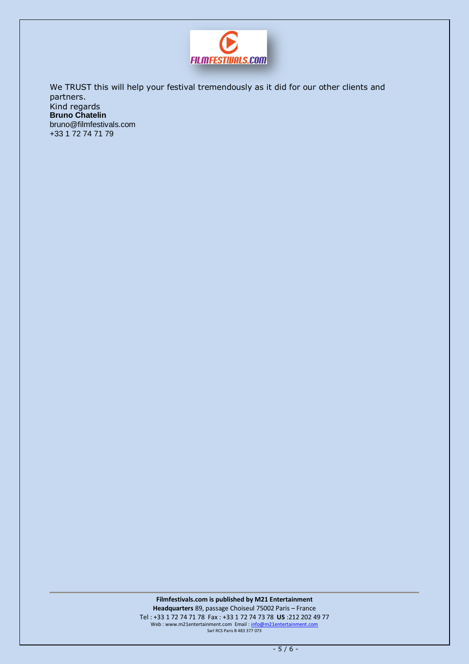

We TRUST this will help your festival tremendously as it did for our other clients and partners. Kind regards **Bruno Chatelin**  [bruno@filmfestivals.com](mailto:bruno@filmfestivals.com) +33 1 72 74 71 79